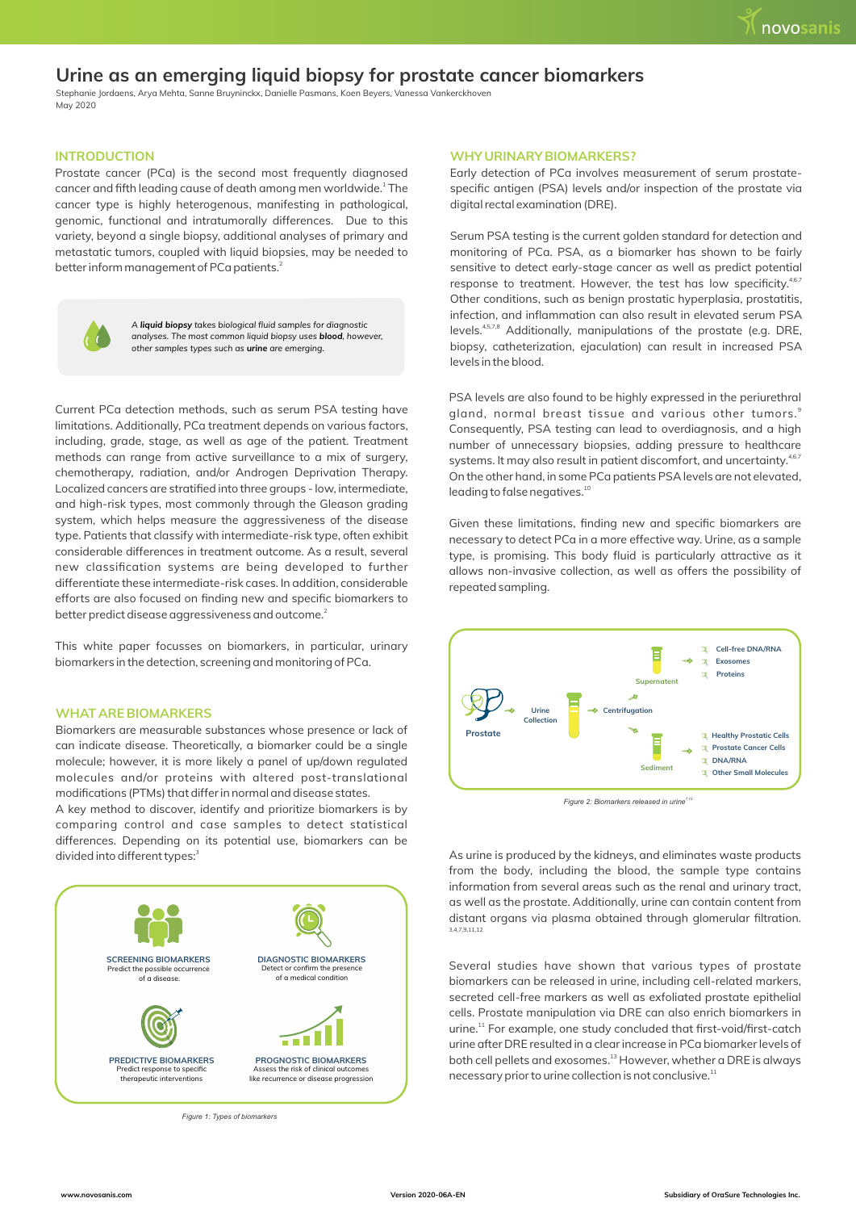# **Urine as an emerging liquid biopsy for prostate cancer biomarkers**

Stephanie Jordaens, Arya Mehta, Sanne Bruyninckx, Danielle Pasmans, Koen Beyers, Vanessa Vankerckhoven May 2020

## **INTRODUCTION**

Prostate cancer (PCa) is the second most frequently diagnosed cancer and fifth leading cause of death among men worldwide.<sup>1</sup> The cancer type is highly heterogenous, manifesting in pathological, genomic, functional and intratumorally differences. Due to this variety, beyond a single biopsy, additional analyses of primary and metastatic tumors, coupled with liquid biopsies, may be needed to better inform management of PCa patients. $^2$ 



*A liquid biopsy takes biological fluid samples for diagnostic analyses. The most common liquid biopsy uses blood, however, other samples types such as urine are emerging.* 

Current PCa detection methods, such as serum PSA testing have limitations. Additionally, PCa treatment depends on various factors, including, grade, stage, as well as age of the patient. Treatment methods can range from active surveillance to a mix of surgery, chemotherapy, radiation, and/or Androgen Deprivation Therapy. Localized cancers are stratified into three groups - low, intermediate, and high-risk types, most commonly through the Gleason grading system, which helps measure the aggressiveness of the disease type. Patients that classify with intermediate-risk type, often exhibit considerable differences in treatment outcome. As a result, several new classification systems are being developed to further differentiate these intermediate-risk cases. In addition, considerable efforts are also focused on finding new and specific biomarkers to better predict disease aggressiveness and outcome. $^2$ 

This white paper focusses on biomarkers, in particular, urinary biomarkers in the detection, screening and monitoring of PCa.

### **WHAT ARE BIOMARKERS**

Biomarkers are measurable substances whose presence or lack of can indicate disease. Theoretically, a biomarker could be a single molecule; however, it is more likely a panel of up/down regulated molecules and/or proteins with altered post-translational modifications (PTMs) that differ in normal and disease states.

A key method to discover, identify and prioritize biomarkers is by comparing control and case samples to detect statistical differences. Depending on its potential use, biomarkers can be divided into different types:<sup>3</sup>



*Figure 1: Types of biomarkers*

## **WHY URINARY BIOMARKERS?**

Early detection of PCa involves measurement of serum prostatespecific antigen (PSA) levels and/or inspection of the prostate via digital rectal examination (DRE).

Serum PSA testing is the current golden standard for detection and monitoring of PCa. PSA, as a biomarker has shown to be fairly sensitive to detect early-stage cancer as well as predict potential response to treatment. However, the test has low specificity.<sup>4,6,7</sup> Other conditions, such as benign prostatic hyperplasia, prostatitis, infection, and inflammation can also result in elevated serum PSA levels.<sup>4,5,7,8</sup> Additionally, manipulations of the prostate (e.g. DRE, biopsy, catheterization, ejaculation) can result in increased PSA levels in the blood.

PSA levels are also found to be highly expressed in the periurethral 9 gland, normal breast tissue and various other tumors. Consequently, PSA testing can lead to overdiagnosis, and a high number of unnecessary biopsies, adding pressure to healthcare systems. It may also result in patient discomfort, and uncertainty.<sup>4,6,7</sup> On the other hand, in some PCa patients PSA levels are not elevated,  $10$  leading to false negatives.<sup>10</sup>

Given these limitations, finding new and specific biomarkers are necessary to detect PCa in a more effective way. Urine, as a sample type, is promising. This body fluid is particularly attractive as it allows non-invasive collection, as well as offers the possibility of repeated sampling.



*7,12 Figure 2: Biomarkers released in urine*

As urine is produced by the kidneys, and eliminates waste products from the body, including the blood, the sample type contains information from several areas such as the renal and urinary tract, as well as the prostate. Additionally, urine can contain content from distant organs via plasma obtained through glomerular filtration. 3,4,7,9,11,12

Several studies have shown that various types of prostate biomarkers can be released in urine, including cell-related markers, secreted cell-free markers as well as exfoliated prostate epithelial cells. Prostate manipulation via DRE can also enrich biomarkers in urine.<sup>11</sup> For example, one study concluded that first-void/first-catch urine after DRE resulted in a clear increase in PCa biomarker levels of both cell pellets and exosomes.<sup>13</sup> However, whether a DRE is always necessary prior to urine collection is not conclusive.<sup>11</sup>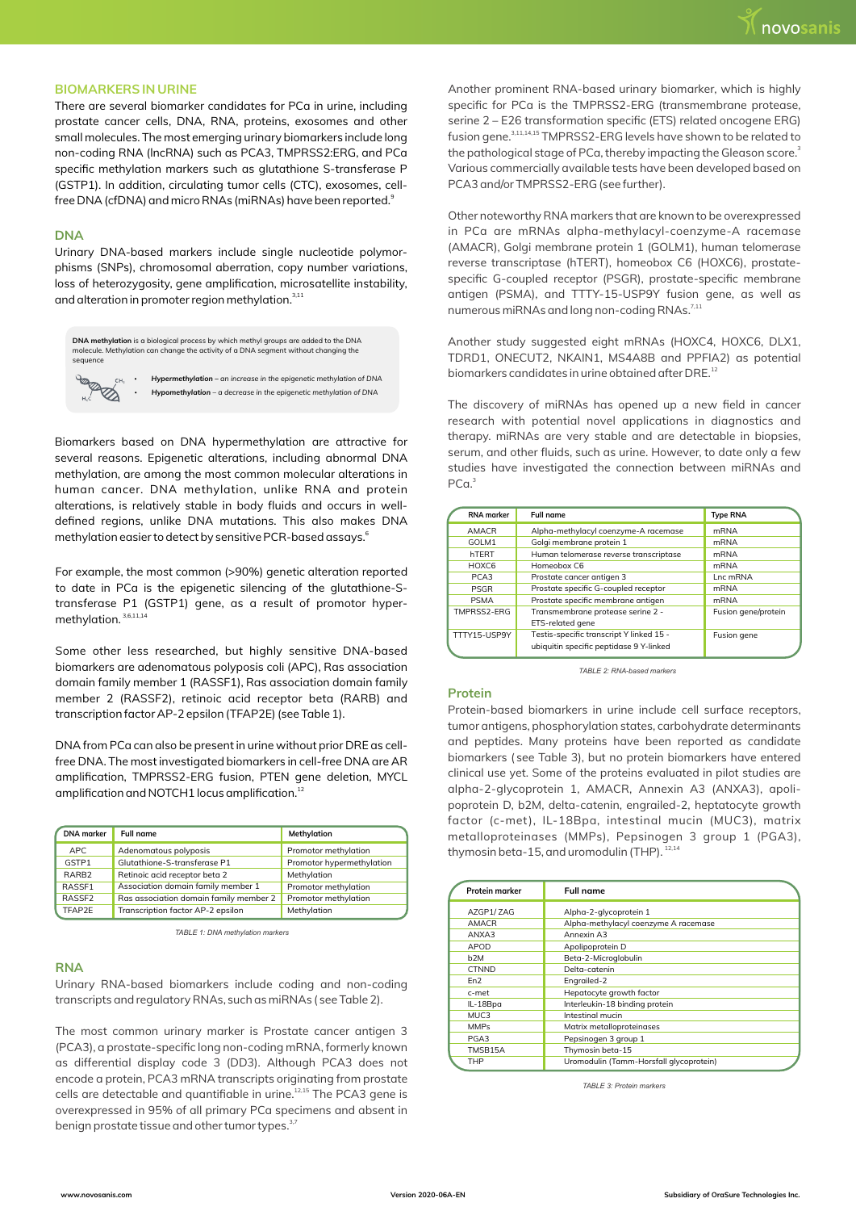# **BIOMARKERS IN URINE**

There are several biomarker candidates for PCa in urine, including prostate cancer cells, DNA, RNA, proteins, exosomes and other small molecules. The most emerging urinary biomarkers include long non-coding RNA (lncRNA) such as PCA3, TMPRSS2:ERG, and PCa specific methylation markers such as glutathione S-transferase P (GSTP1). In addition, circulating tumor cells (CTC), exosomes, cellfree DNA (cfDNA) and micro RNAs (miRNAs) have been reported. $^{\circ}$ 

## **DNA**

Urinary DNA-based markers include single nucleotide polymorphisms (SNPs), chromosomal aberration, copy number variations, loss of heterozygosity, gene amplification, microsatellite instability, and alteration in promoter region methylation.<sup>3,11</sup>

| DNA methylation is a biological process by which methyl groups are added to the DNA<br>molecule. Methylation can change the activity of a DNA segment without changing the<br>sequence |   |                                                                                                                                          |  |  |  |  |
|----------------------------------------------------------------------------------------------------------------------------------------------------------------------------------------|---|------------------------------------------------------------------------------------------------------------------------------------------|--|--|--|--|
| <b>PORT</b><br>CH <sub>3</sub>                                                                                                                                                         | ٠ | Hypermethylation – an increase in the epigenetic methylation of DNA<br>Hypomethylation - a decrease in the epigenetic methylation of DNA |  |  |  |  |

Biomarkers based on DNA hypermethylation are attractive for several reasons. Epigenetic alterations, including abnormal DNA methylation, are among the most common molecular alterations in human cancer. DNA methylation, unlike RNA and protein alterations, is relatively stable in body fluids and occurs in welldefined regions, unlike DNA mutations. This also makes DNA methylation easier to detect by sensitive PCR-based assays.<sup>6</sup>

For example, the most common (>90%) genetic alteration reported to date in PCa is the epigenetic silencing of the glutathione-Stransferase P1 (GSTP1) gene, as a result of promotor hypermethylation.<sup>3,6,11,14</sup>

Some other less researched, but highly sensitive DNA-based biomarkers are adenomatous polyposis coli (APC), Ras association domain family member 1 (RASSF1), Ras association domain family member 2 (RASSF2), retinoic acid receptor beta (RARB) and transcription factor AP-2 epsilon (TFAP2E) (see Table 1).

DNA from PCa can also be present in urine without prior DRE as cellfree DNA. The most investigated biomarkers in cell-free DNA are AR amplification, TMPRSS2-ERG fusion, PTEN gene deletion, MYCL amplification and NOTCH1 locus amplification.<sup>12</sup>

| <b>DNA</b> marker  | Full name                              | Methylation               |
|--------------------|----------------------------------------|---------------------------|
| APC.               | Adenomatous polyposis                  | Promotor methylation      |
| GSTP1              | Glutathione-S-transferase P1           | Promotor hypermethylation |
| RARB <sub>2</sub>  | Retinoic acid receptor beta 2          | Methylation               |
| RASSE1             | Association domain family member 1     | Promotor methylation      |
| RASSE <sub>2</sub> | Ras association domain family member 2 | Promotor methylation      |
| TFAP2F             | Transcription factor AP-2 epsilon      | Methylation               |

*TABLE 1: DNA methylation markers*

#### **RNA**

Urinary RNA-based biomarkers include coding and non-coding transcripts and regulatory RNAs, such as miRNAs ( see Table 2).

The most common urinary marker is Prostate cancer antigen 3 (PCA3), a prostate-specific long non-coding mRNA, formerly known as differential display code 3 (DD3). Although PCA3 does not encode a protein, PCA3 mRNA transcripts originating from prostate cells are detectable and quantifiable in urine.<sup>12,15</sup> The PCA3 gene is overexpressed in 95% of all primary PCa specimens and absent in benign prostate tissue and other tumor types.<sup>3,7</sup>

Another prominent RNA-based urinary biomarker, which is highly specific for PCa is the TMPRSS2-ERG (transmembrane protease, serine 2 – E26 transformation specific (ETS) related oncogene ERG) fusion gene. 3,11,14,15 TMPRSS2-ERG levels have shown to be related to the pathological stage of PCa, thereby impacting the Gleason score.<sup>3</sup> Various commercially available tests have been developed based on PCA3 and/or TMPRSS2-ERG (see further).

Other noteworthy RNA markers that are known to be overexpressed in PCa are mRNAs alpha-methylacyl-coenzyme-A racemase (AMACR), Golgi membrane protein 1 (GOLM1), human telomerase reverse transcriptase (hTERT), homeobox C6 (HOXC6), prostatespecific G-coupled receptor (PSGR), prostate-specific membrane antigen (PSMA), and TTTY-15-USP9Y fusion gene, as well as numerous miRNAs and long non-coding RNAs.<sup>7,11</sup>

Another study suggested eight mRNAs (HOXC4, HOXC6, DLX1, TDRD1, ONECUT2, NKAIN1, MS4A8B and PPFIA2) as potential biomarkers candidates in urine obtained after DRE.<sup>12</sup>

The discovery of miRNAs has opened up a new field in cancer research with potential novel applications in diagnostics and therapy. miRNAs are very stable and are detectable in biopsies, serum, and other fluids, such as urine. However, to date only a few studies have investigated the connection between miRNAs and PCa.<sup>3</sup>

| <b>RNA</b> marker | <b>Full name</b>                         | <b>Type RNA</b>     |
|-------------------|------------------------------------------|---------------------|
| <b>AMACR</b>      | Alpha-methylacyl coenzyme-A racemase     | <b>mRNA</b>         |
| GOLM <sub>1</sub> | Golgi membrane protein 1                 | <b>mRNA</b>         |
| hTFRT             | Human telomerase reverse transcriptase   | <b>mRNA</b>         |
| HOXC6             | Homeobox C6                              | <b>mRNA</b>         |
| PCA3              | Prostate cancer antigen 3                | Lnc mRNA            |
| <b>PSGR</b>       | Prostate specific G-coupled receptor     | <b>mRNA</b>         |
| <b>PSMA</b>       | Prostate specific membrane antigen       | <b>mRNA</b>         |
| TMPRSS2-FRG       | Transmembrane protease serine 2 -        | Fusion gene/protein |
|                   | ETS-related gene                         |                     |
| TTTY15-USP9Y      | Testis-specific transcript Y linked 15 - | Fusion gene         |
|                   | ubiquitin specific peptidase 9 Y-linked  |                     |

*TABLE 2: RNA-based markers*

### **Protein**

Protein-based biomarkers in urine include cell surface receptors, tumor antigens, phosphorylation states, carbohydrate determinants and peptides. Many proteins have been reported as candidate biomarkers ( see Table 3), but no protein biomarkers have entered clinical use yet. Some of the proteins evaluated in pilot studies are alpha-2-glycoprotein 1, AMACR, Annexin A3 (ANXA3), apolipoprotein D, b2M, delta-catenin, engrailed-2, heptatocyte growth factor (c-met), IL-18Bpa, intestinal mucin (MUC3), matrix metalloproteinases (MMPs), Pepsinogen 3 group 1 (PGA3), thymosin beta-15, and uromodulin (THP). 12,14

| Protein marker   | Full name                               |
|------------------|-----------------------------------------|
| AZGP1/ZAG        | Alpha-2-glycoprotein 1                  |
| <b>AMACR</b>     | Alpha-methylacyl coenzyme A racemase    |
| ANXA3            | Annexin A3                              |
| <b>APOD</b>      | Apolipoprotein D                        |
| b <sub>2M</sub>  | Beta-2-Microglobulin                    |
| <b>CTNND</b>     | Delta-catenin                           |
| Fn <sub>2</sub>  | Engrailed-2                             |
| c-met            | Hepatocyte growth factor                |
| IL-18Bpa         | Interleukin-18 binding protein          |
| MUC <sub>3</sub> | Intestinal mucin                        |
| <b>MMPs</b>      | Matrix metalloproteinases               |
| PGA3             | Pepsinogen 3 group 1                    |
| TMSB15A          | Thymosin beta-15                        |
| THP              | Uromodulin (Tamm-Horsfall glycoprotein) |
|                  |                                         |

*TABLE 3: Protein markers*